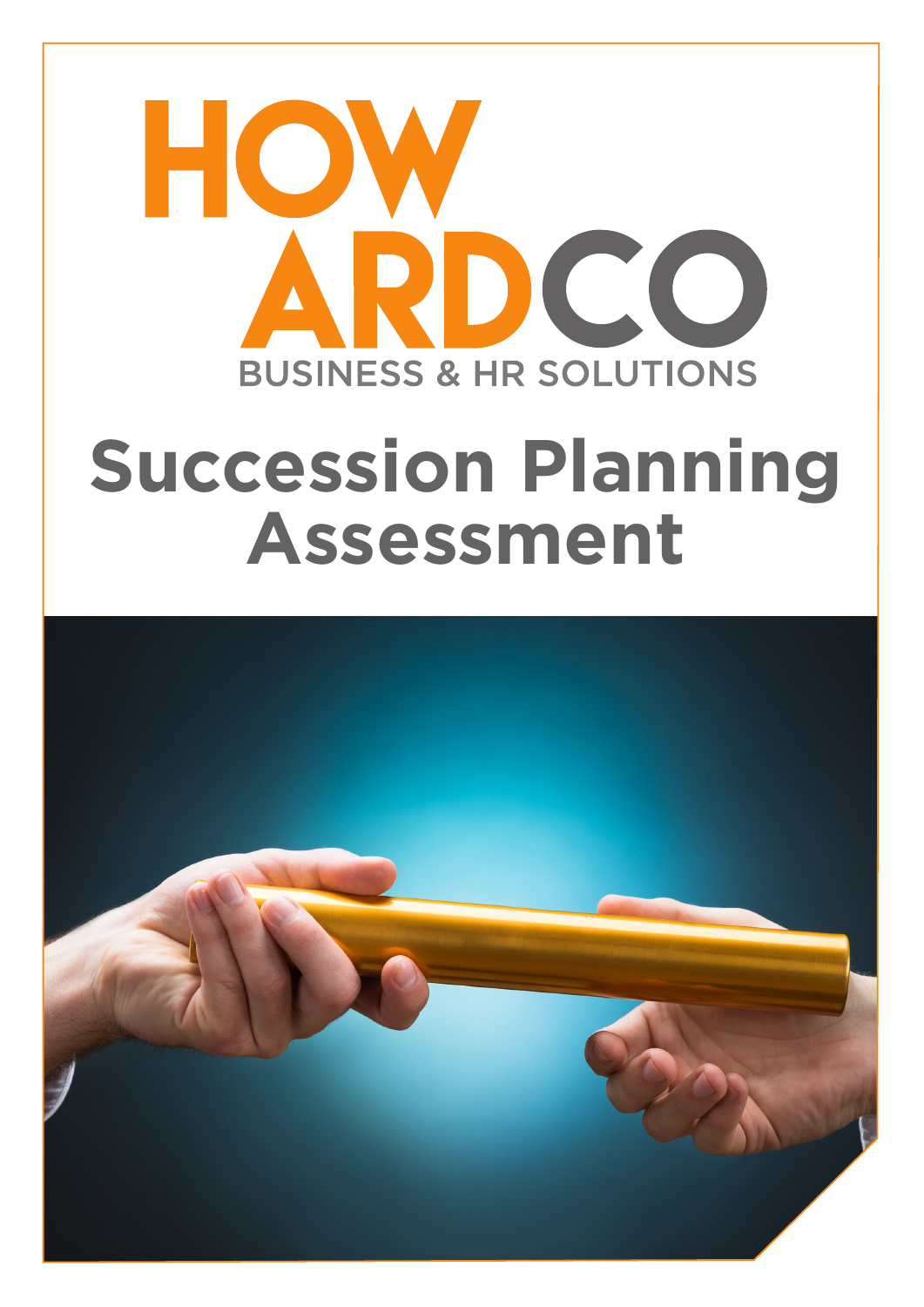## HO D CC **BUSINESS & HR SOLUTIONS**

## **Succession Planning Assessment**

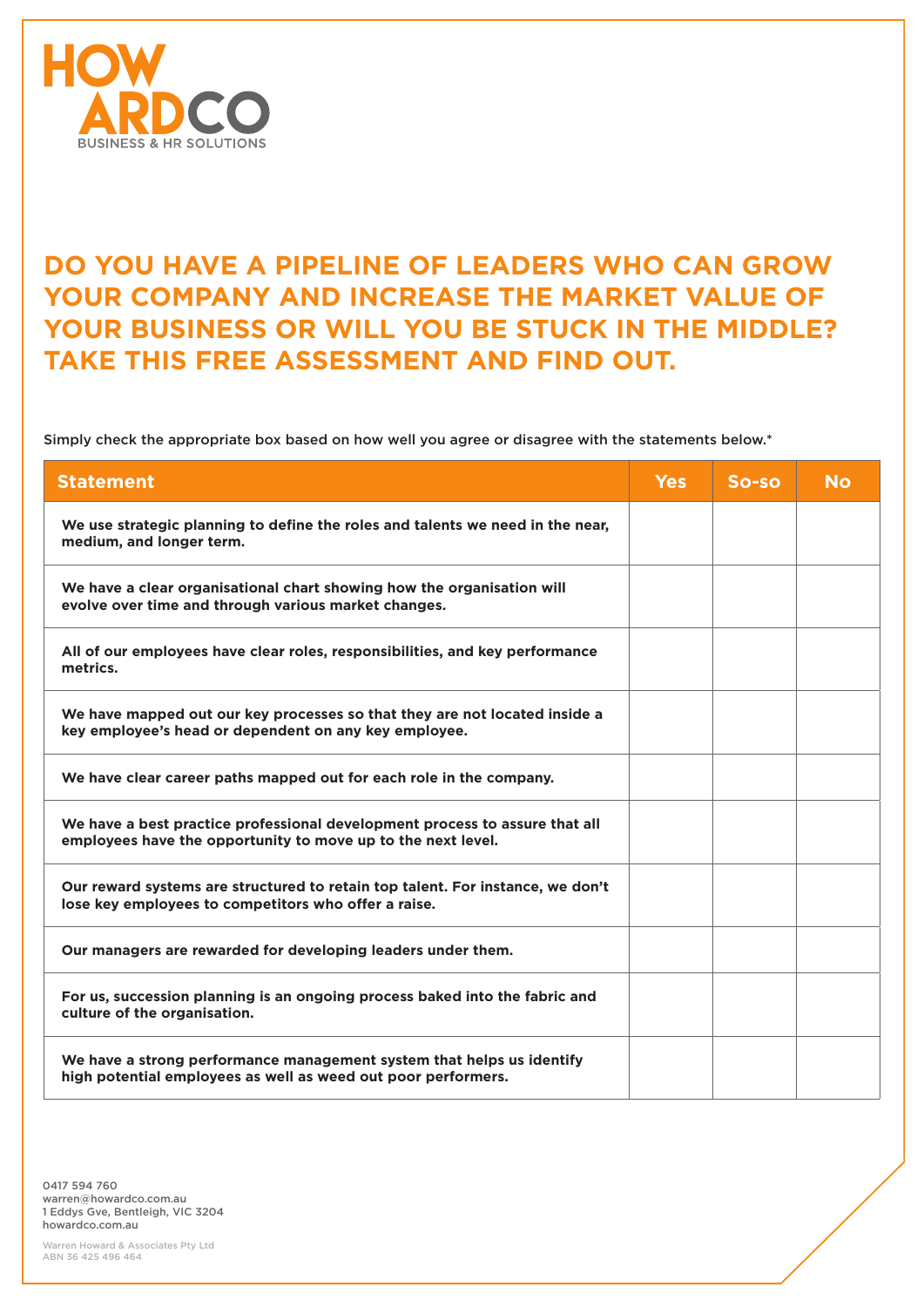

## **DO YOU HAVE A PIPELINE OF LEADERS WHO CAN GROW YOUR COMPANY AND INCREASE THE MARKET VALUE OF YOUR BUSINESS OR WILL YOU BE STUCK IN THE MIDDLE? TAKE THIS FREE ASSESSMENT AND FIND OUT.**

Simply check the appropriate box based on how well you agree or disagree with the statements below.\*

| <b>Statement</b>                                                                                                                            | <b>Yes</b> | $So-so$ | <b>No</b> |
|---------------------------------------------------------------------------------------------------------------------------------------------|------------|---------|-----------|
| We use strategic planning to define the roles and talents we need in the near,<br>medium, and longer term.                                  |            |         |           |
| We have a clear organisational chart showing how the organisation will<br>evolve over time and through various market changes.              |            |         |           |
| All of our employees have clear roles, responsibilities, and key performance<br>metrics.                                                    |            |         |           |
| We have mapped out our key processes so that they are not located inside a<br>key employee's head or dependent on any key employee.         |            |         |           |
| We have clear career paths mapped out for each role in the company.                                                                         |            |         |           |
| We have a best practice professional development process to assure that all<br>employees have the opportunity to move up to the next level. |            |         |           |
| Our reward systems are structured to retain top talent. For instance, we don't<br>lose key employees to competitors who offer a raise.      |            |         |           |
| Our managers are rewarded for developing leaders under them.                                                                                |            |         |           |
| For us, succession planning is an ongoing process baked into the fabric and<br>culture of the organisation.                                 |            |         |           |
| We have a strong performance management system that helps us identify<br>high potential employees as well as weed out poor performers.      |            |         |           |

0417 594 760 warren@howardco.com.au 1 Eddys Gve, Bentleigh, VIC 3204 howardco.com.au